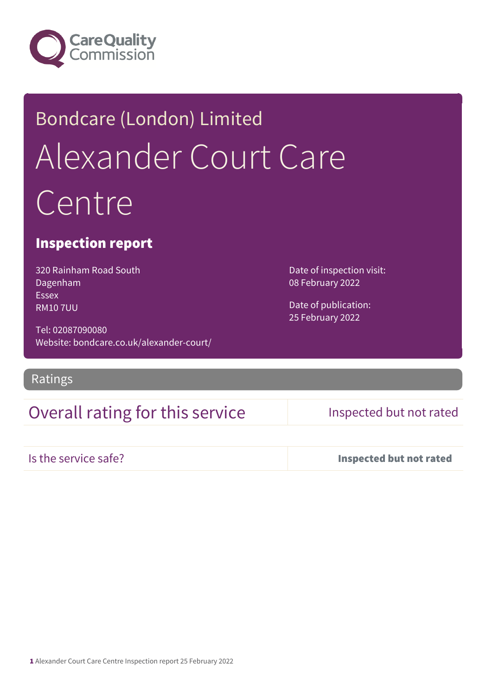

# Bondcare (London) Limited Alexander Court Care Centre

## Inspection report

320 Rainham Road South Dagenham Essex RM10 7UU

Tel: 02087090080 Website: bondcare.co.uk/alexander-court/

Ratings

## Overall rating for this service Inspected but not rated

Date of inspection visit:

08 February 2022

Date of publication: 25 February 2022

Is the service safe? Inspected but not rated

1 Alexander Court Care Centre Inspection report 25 February 2022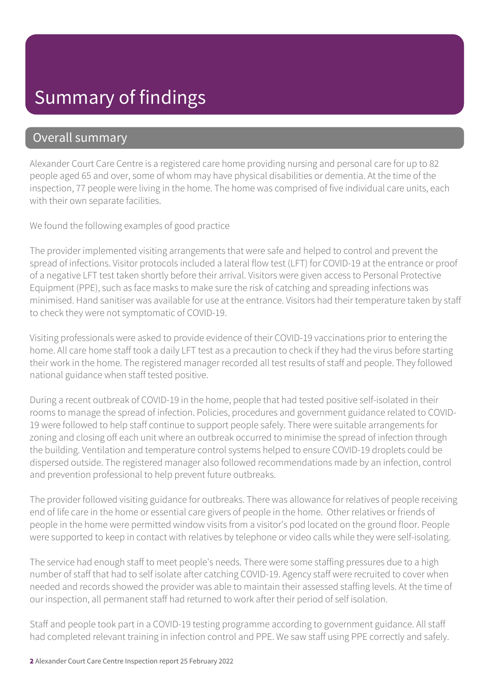## Summary of findings

### Overall summary

Alexander Court Care Centre is a registered care home providing nursing and personal care for up to 82 people aged 65 and over, some of whom may have physical disabilities or dementia. At the time of the inspection, 77 people were living in the home. The home was comprised of five individual care units, each with their own separate facilities.

We found the following examples of good practice

The provider implemented visiting arrangements that were safe and helped to control and prevent the spread of infections. Visitor protocols included a lateral flow test (LFT) for COVID-19 at the entrance or proof of a negative LFT test taken shortly before their arrival. Visitors were given access to Personal Protective Equipment (PPE), such as face masks to make sure the risk of catching and spreading infections was minimised. Hand sanitiser was available for use at the entrance. Visitors had their temperature taken by staff to check they were not symptomatic of COVID-19.

Visiting professionals were asked to provide evidence of their COVID-19 vaccinations prior to entering the home. All care home staff took a daily LFT test as a precaution to check if they had the virus before starting their work in the home. The registered manager recorded all test results of staff and people. They followed national guidance when staff tested positive.

During a recent outbreak of COVID-19 in the home, people that had tested positive self-isolated in their rooms to manage the spread of infection. Policies, procedures and government guidance related to COVID-19 were followed to help staff continue to support people safely. There were suitable arrangements for zoning and closing off each unit where an outbreak occurred to minimise the spread of infection through the building. Ventilation and temperature control systems helped to ensure COVID-19 droplets could be dispersed outside. The registered manager also followed recommendations made by an infection, control and prevention professional to help prevent future outbreaks.

The provider followed visiting guidance for outbreaks. There was allowance for relatives of people receiving end of life care in the home or essential care givers of people in the home. Other relatives or friends of people in the home were permitted window visits from a visitor's pod located on the ground floor. People were supported to keep in contact with relatives by telephone or video calls while they were self-isolating.

The service had enough staff to meet people's needs. There were some staffing pressures due to a high number of staff that had to self isolate after catching COVID-19. Agency staff were recruited to cover when needed and records showed the provider was able to maintain their assessed staffing levels. At the time of our inspection, all permanent staff had returned to work after their period of self isolation.

Staff and people took part in a COVID-19 testing programme according to government guidance. All staff had completed relevant training in infection control and PPE. We saw staff using PPE correctly and safely.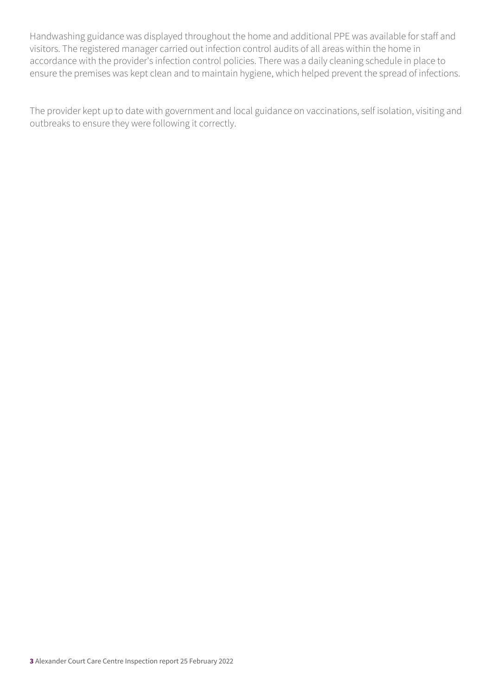Handwashing guidance was displayed throughout the home and additional PPE was available for staff and visitors. The registered manager carried out infection control audits of all areas within the home in accordance with the provider's infection control policies. There was a daily cleaning schedule in place to ensure the premises was kept clean and to maintain hygiene, which helped prevent the spread of infections.

The provider kept up to date with government and local guidance on vaccinations, self isolation, visiting and outbreaks to ensure they were following it correctly.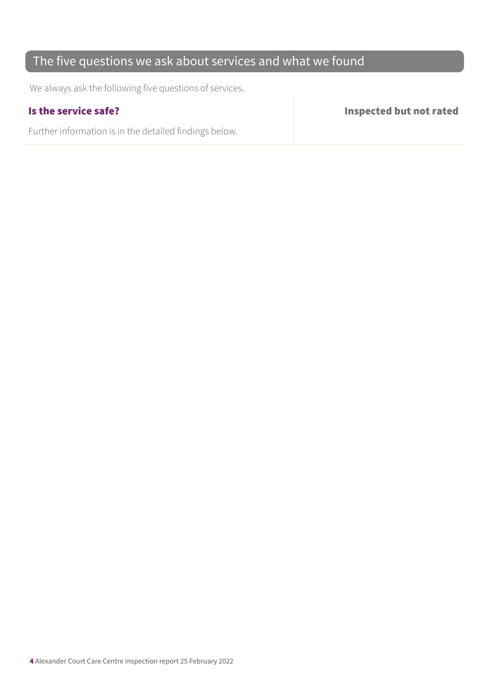## The five questions we ask about services and what we found

We always ask the following five questions of services.

Further information is in the detailed findings below.

Is the service safe? Inspected but not rated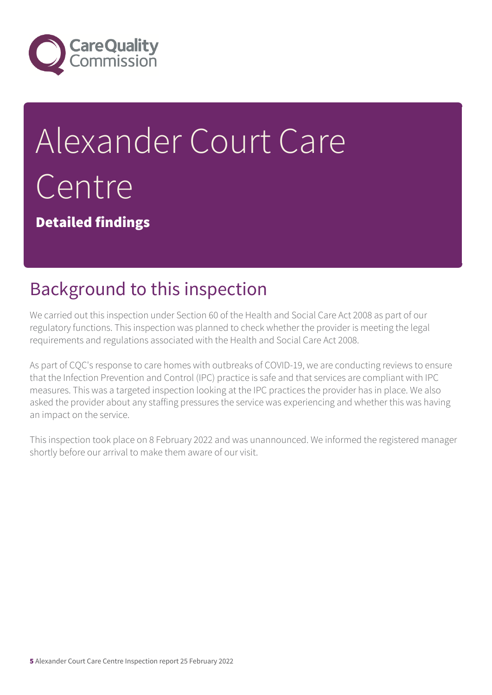

# Alexander Court Care Centre

Detailed findings

# Background to this inspection

We carried out this inspection under Section 60 of the Health and Social Care Act 2008 as part of our regulatory functions. This inspection was planned to check whether the provider is meeting the legal requirements and regulations associated with the Health and Social Care Act 2008.

As part of CQC's response to care homes with outbreaks of COVID-19, we are conducting reviews to ensure that the Infection Prevention and Control (IPC) practice is safe and that services are compliant with IPC measures. This was a targeted inspection looking at the IPC practices the provider has in place. We also asked the provider about any staffing pressures the service was experiencing and whether this was having an impact on the service.

This inspection took place on 8 February 2022 and was unannounced. We informed the registered manager shortly before our arrival to make them aware of our visit.